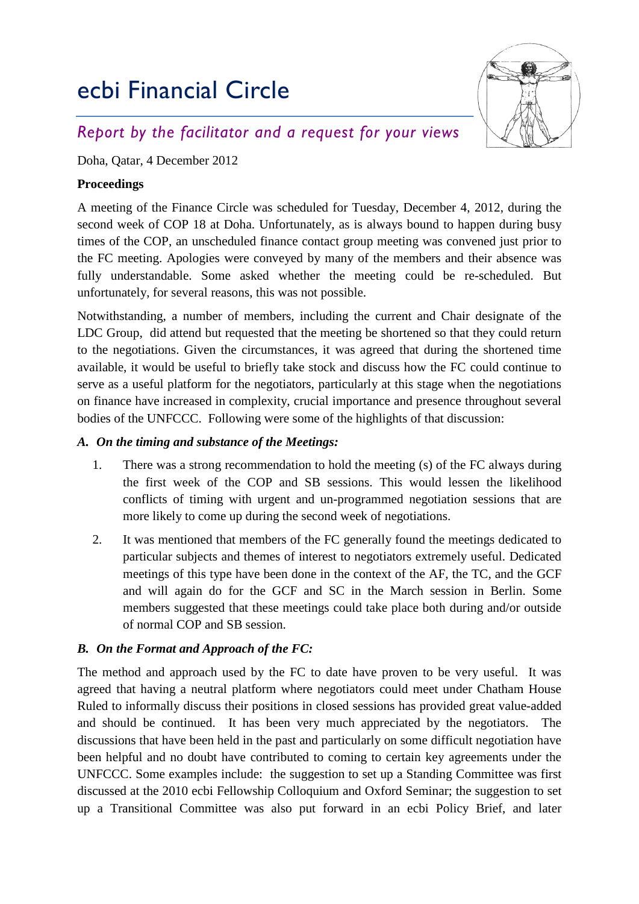# ecbi Financial Circle



# *Report by the facilitator and a request for your views*

Doha, Qatar, 4 December 2012

### **Proceedings**

A meeting of the Finance Circle was scheduled for Tuesday, December 4, 2012, during the second week of COP 18 at Doha. Unfortunately, as is always bound to happen during busy times of the COP, an unscheduled finance contact group meeting was convened just prior to the FC meeting. Apologies were conveyed by many of the members and their absence was fully understandable. Some asked whether the meeting could be re-scheduled. But unfortunately, for several reasons, this was not possible.

Notwithstanding, a number of members, including the current and Chair designate of the LDC Group, did attend but requested that the meeting be shortened so that they could return to the negotiations. Given the circumstances, it was agreed that during the shortened time available, it would be useful to briefly take stock and discuss how the FC could continue to serve as a useful platform for the negotiators, particularly at this stage when the negotiations on finance have increased in complexity, crucial importance and presence throughout several bodies of the UNFCCC. Following were some of the highlights of that discussion:

#### *A. On the timing and substance of the Meetings:*

- 1. There was a strong recommendation to hold the meeting (s) of the FC always during the first week of the COP and SB sessions. This would lessen the likelihood conflicts of timing with urgent and un-programmed negotiation sessions that are more likely to come up during the second week of negotiations.
- 2. It was mentioned that members of the FC generally found the meetings dedicated to particular subjects and themes of interest to negotiators extremely useful. Dedicated meetings of this type have been done in the context of the AF, the TC, and the GCF and will again do for the GCF and SC in the March session in Berlin. Some members suggested that these meetings could take place both during and/or outside of normal COP and SB session.

## *B. On the Format and Approach of the FC:*

The method and approach used by the FC to date have proven to be very useful. It was agreed that having a neutral platform where negotiators could meet under Chatham House Ruled to informally discuss their positions in closed sessions has provided great value-added and should be continued. It has been very much appreciated by the negotiators. The discussions that have been held in the past and particularly on some difficult negotiation have been helpful and no doubt have contributed to coming to certain key agreements under the UNFCCC. Some examples include: the suggestion to set up a Standing Committee was first discussed at the 2010 ecbi Fellowship Colloquium and Oxford Seminar; the suggestion to set up a Transitional Committee was also put forward in an ecbi Policy Brief, and later